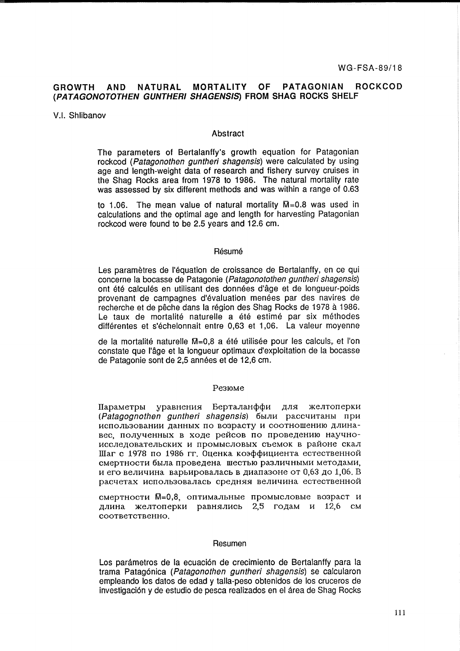# **GROWTH AND NATURAL MORTALITY OF PATAGONIAN ROCKCOD (PATAGONOTOTHEN GUNTHERI SHAGENS/S) FROM SHAG ROCKS SHELF**

# V.1. Shlibanov

# Abstract

The parameters of Bertalanffy's growth equation for Patagonian rockcod (Patagonothen guntheri shagensis) were calculated by using age and length-weight data of research and fishery survey cruises in the Shag Rocks area from 1978 to 1986. The natural mortality rate was assessed by six different methods and was within a range of 0.63

to 1.06. The mean value of natural mortality  $\overline{M}$ =0.8 was used in calculations and the optimal age and length for harvesting Patagonian rockcod were found to be 2.5 years and 12.6 cm.

#### Résumé

Les paramètres de l'équation de croissance de Bertalanffy, en ce qui concerne la bocasse de Patagonie (Patagonotothen guntheri shagensis) ont été calculés en utilisant des données d'âge et de longueur-poids provenant de campagnes d'évaluation menées par des navires de recherche et de pêche dans la région des Shag Rocks de 1978 à 1986. Le taux de mortalité naturelle a été estimé par six méthodes differentes et s'echelonnait entre 0,63 et 1,06. La valeur moyenne

de la mortalité naturelle M=0,8 a été utilisée pour les calculs, et l'on constate que l'âge et la longueur optimaux d'exploitation de la bocasse de Patagonie sont de 2,5 années et de 12,6 cm.

#### Pe310Me

Параметры уравнения Берталанффи для желтоперки (Patagognothen guntheri shagensis) были рассчитаны при использовании данных по возрасту и соотношению длинавес, полученных в ходе рейсов по проведению научноисследовательских и промысловых съемок в районе скал Шаг с 1978 по 1986 гг. Оценка коэффициента естественной смертности была проведена шестью различными методами, и его величина варьировалась в диапазоне от 0,63 до 1,06. В расчетах использовалась средняя величина естественной

смертности  $M=0.8$ , оптимальные промысловые возраст и длина желтоперки равнялись 2,5 годам и 12,6 см COOTBeTCTBeHHO.

## Resumen

Los parámetros de la ecuación de crecimiento de Bertalanffy para la trama Patagonica (Patagonothen guntheri shagensis) se calcularon empleando los datos de edad y talla-peso obtenidos de los cruceros de investigación y de estudio de pesca realizados en el área de Shag Rocks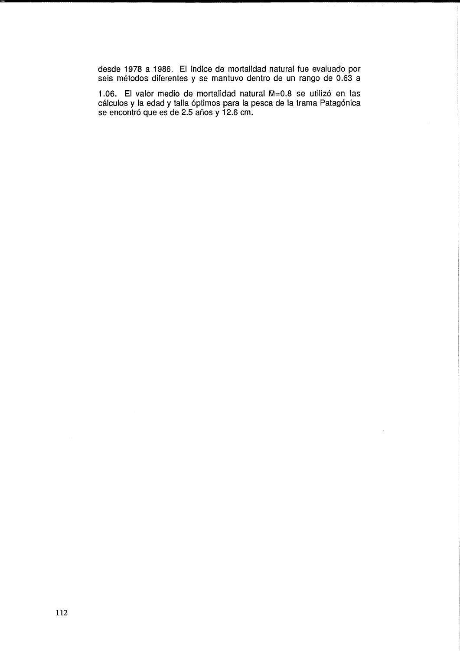desde 1978 a 1986. El fndice de mortalidad natural fue evaluado por seis metodos diferentes y se mantuvo dentro de un rango de 0.63 a

1.06. El valor medio de mortalidad natural M=0.8 se utilizó en las cálculos y la edad y talla óptimos para la pesca de la trama Patagónica se encontró que es de 2.5 años y 12.6 cm.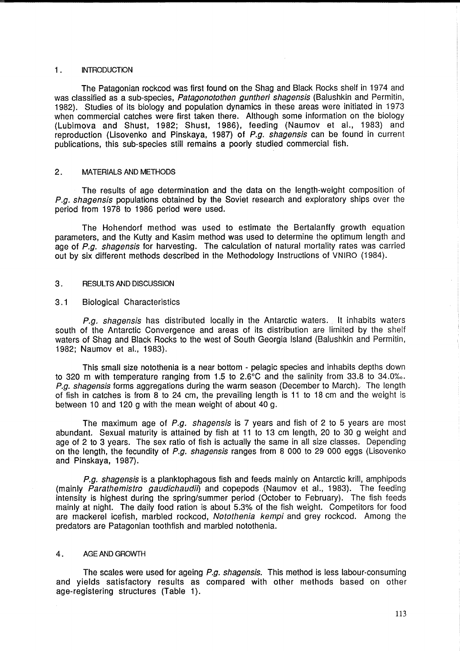# 1. INTRODUCTION

The Patagonian rockcod was first found on the Shag and Black Rocks shelf in 1974 and was classified as a sub-species, Patagonotothen guntheri shagensis (Balushkin and Permitin, 1982). Studies of its biology and population dynamics in these areas were initiated in 1973 when commercial catches were first taken there. Although some information on the biology (Lubimova and Shust, 1982; Shust, 1986), feeding (Naumov et al., 1983) and reproduction (Lisovenko and Pinskaya, 1987) of P.g. shagensis can be found in current publications, this sub-species still remains a poorly studied commercial fish.

# 2 . MATERIALS AND METHODS

The results of age determination and the data on the length-weight composition of P.a. shagensis populations obtained by the Soviet research and exploratory ships over the period from 1978 to 1986 period were used.

The Hohendorf method was used to estimate the Bertalanffy growth equation parameters, and the Kutty and Kasim method was used to determine the optimum length and age of P.g. shagensis for harvesting. The calculation of natural mortality rates was carried out by six different methods described in the Methodology Instructions of VNIRO (1984).

# 3. RESULTS AND DISCUSSION

# 3.1 Biological Characteristics

P.g. shagensis has distributed locally in the Antarctic waters. It inhabits waters south of the Antarctic Convergence and areas of its distribution are limited by the shelf waters of Shag and Black Rocks to the west of South Georgia Island (Balushkin and Permitin, 1982; Naumov et al., 1983).

This small size notothenia is a near bottom - pelagic species and inhabits depths down to 320 m with temperature ranging from 1.5 to  $2.6^{\circ}$ C and the salinity from 33.8 to 34.0‰. P.g. shagensis forms aggregations during the warm season (December to March). The length of fish in catches is from 8 to 24 cm, the prevailing length is **11** to 18 cm and the weight is between 10 and 120 g with the mean weight of about 40 g.

The maximum age of P.g. shagensis is 7 years and fish of 2 to 5 years are most abundant. Sexual maturity is attained by fish at **11** to 13 cm length, 20 to 30 g weight and age of 2 to 3 years. The sex ratio of fish is actually the same in all size classes. Depending on the length, the fecundity of P.g. shagensis ranges from 8 000 to 29 000 eggs (Lisovenko and Pinskaya, 1987).

P.g. shagensis is a planktophagous fish and feeds mainly on Antarctic krill, amphipods  $(mainlv$  *Parathemistro gaudichaudil*) and copepods (Naumov et al., 1983). The feeding intensity is highest during the spring/summer period (October to February). The fish feeds mainly at night. The daily food ration is about 5.3% of the fish weight. Competitors for food are mackerel icefish, marbled rockcod, Notothenia kempi and grey rockcod. Among the predators are Patagonian toothfish and marbled notothenia.

# 4. AGE AND GROWTH

The scales were used for ageing P.g. shagensis. This method is less labour-consuming and yields satisfactory results as compared with other methods based on other age-registering structures (Table 1).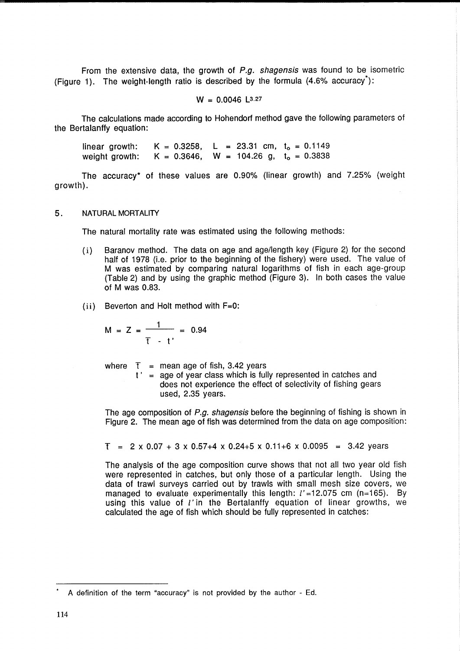From the extensive data, the growth of  $P.g.$  shagensis was found to be isometric (Figure 1). The weight-length ratio is described by the formula  $(4.6\%$  accuracy<sup>\*</sup>):

$$
W = 0.0046
$$
 L<sup>3.27</sup>

The calculations made according to Hohendorf method gave the following parameters of the Bertalanffy equation:

linear growth: weight growth:  $K = 0.3258$ , L = 23.31 cm, t<sub>o</sub> = 0.1149  $K = 0.3646$ , W = 104.26 g, t<sub>o</sub> = 0.3838

The accuracy\* of these values are 0.90% (linear growth) and 7.25% (weight growth).

## 5. NATURAL MORTALITY

The natural mortality rate was estimated using the following methods:

- (i) Baranov method. The data on age and age/length key (Figure 2) for the second half of 1978 (i.e. prior to the beginning of the fishery) were used. The value of M was estimated by comparing natural logarithms of fish in each age-group (Table 2) and by using the graphic method (Figure 3). In both cases the value of M was 0.83.
- (ii) Beverton and Holt method with F=O:

$$
M = Z = \frac{1}{T - t'} = 0.94
$$

where  $T =$  mean age of fish, 3.42 years

t' = age of year class which is fully represented in catches and does not experience the effect of selectivity of fishing gears used, 2.35 years.

The age composition of P.a. shagensis before the beginning of fishing is shown in Figure 2. The mean age of fish was determined from the data on age composition:

$$
T = 2 \times 0.07 + 3 \times 0.57 + 4 \times 0.24 + 5 \times 0.11 + 6 \times 0.0095 = 3.42
$$
 years

The analysis of the age composition curve shows that not all two year old fish were represented in catches, but only those of a particular length. Using the data of trawl surveys carried out by trawls with small mesh size covers, we managed to evaluate experimentally this length:  $l'$  =12.075 cm (n=165). By using this value of I' in the Bertalanffy equation of linear growths, we calculated the age of fish which should be fully represented in catches:

<sup>•</sup> A definition of the term "accuracy" is not provided by the author - Ed.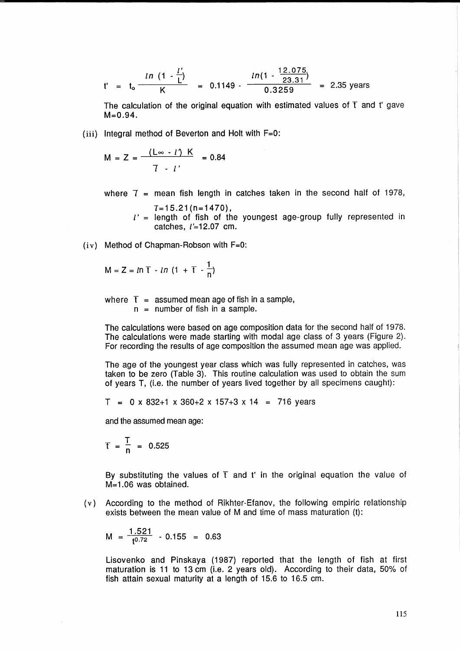$$
t' = t_0 \frac{ln (1 - \frac{l'}{l})}{K} = 0.1149 - \frac{ln(1 - \frac{12.075}{23.31})}{0.3259} = 2.35 \text{ years}
$$

The calculation of the original equation with estimated values of  $T$  and t' gave  $M = 0.94$ .

(iii) Integral method of Beverton and Holt with F=O:

$$
M = Z = \frac{(\mathsf{L} \infty \cdot l') \cdot K}{7 \cdot l'} = 0.84
$$

where  $T =$  mean fish length in catches taken in the second half of 1978,

 $T=15.21(n=1470)$ ,  $l'$  = length of fish of the youngest age-group fully represented in catches,  $l'$ =12.07 cm.

 $(iv)$  Method of Chapman-Robson with  $F=0$ :

$$
M = Z = ln T - ln (1 + T - \frac{1}{n})
$$

where  $\bar{t}$  = assumed mean age of fish in a sample,  $n =$  number of fish in a sample.

The calculations were based on age composition data for the second half of 1978. The calculations were made starting with modal age class of 3 years (Figure 2). For recording the results of age composition the assumed mean age was applied.

The age of the youngest year class which was fully represented in catches, was taken to be zero (Table 3). This routine calculation was used to obtain the sum of years T, (i.e. the number of years lived together by all specimens caught):

 $T = 0 \times 832 + 1 \times 360 + 2 \times 157 + 3 \times 14 = 716$  years

and the assumed mean age:

 $T = \frac{T}{n} = 0.525$ 

By substituting the values of  $\bar{t}$  and t' in the original equation the value of M=1.06 was obtained.

(v) According to the method of Rikhter-Efanov, the following empiric relationship exists between the mean value of M and time of mass maturation (t):

$$
M = \frac{1.521}{t^{0.72}} - 0.155 = 0.63
$$

Lisovenko and Pinskaya (1987) reported that the length of fish at first maturation is 11 to 13 cm (i.e. 2 years old). According to their data, 50% of fish attain sexual maturity at a length of 15.6 to 16.5 cm.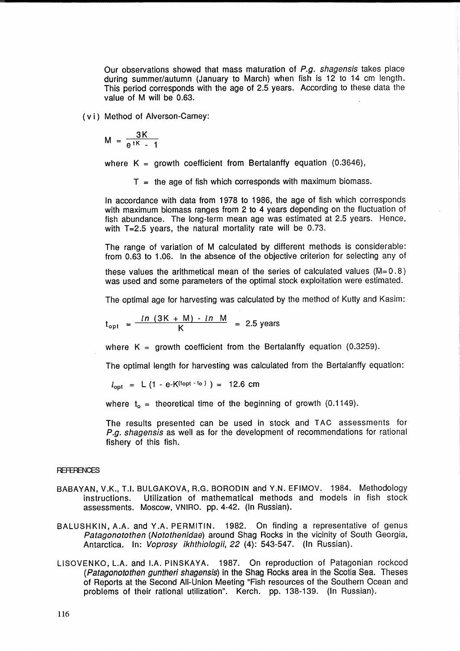Our observations showed that mass maturation of P.g. shagensis takes place during summer/autumn (January to March) when fish is 12 to 14 cm length. This period corresponds with the age of 2.5 years. According to these data the value of M will be 0.63.

( vi) Method of Alverson-Carney:

$$
M = \frac{3K}{e^{tK} - 1}
$$

where  $K =$  growth coefficient from Bertalanffy equation (0.3646),

 $T =$  the age of fish which corresponds with maximum biomass.

In accordance with data from 1978 to 1986, the age of fish which corresponds with maximum biomass ranges from 2 to 4 years depending on the fluctuation of fish abundance. The long-term mean age was estimated at 2.5 years. Hence, with  $T=2.5$  years, the natural mortality rate will be 0.73.

The range of variation of M calculated by different methods is considerable: from 0.63 to 1.06. In the absence of the objective criterion for selecting any of

these values the arithmetical mean of the series of calculated values ( $M= 0.8$ ) was used and some parameters of the optimal stock exploitation were estimated.

The optimal age for harvesting was calculated by the method of Kutty and Kasim:

$$
t_{\rm opt} = \frac{\ln(3K+M) - \ln M}{K} = 2.5 \text{ years}
$$

where  $K =$  growth coefficient from the Bertalanffy equation (0.3259).

The optimal length for harvesting was calculated from the Bertalanffy equation:

 $l_{\text{opt}}$  = L (1 - e-K<sup>(topt - to)</sup>) = 12.6 cm

where  $t_0$  = theoretical time of the beginning of growth (0.1149).

The results presented can be used in stock and TAC assessments for P.g. shagensis as well as for the development of recommendations for rational fishery of this fish.

#### **REFERENCES**

- BABAYAN, V.K., T.I. BULGAKOVA, R.G. BORODIN and Y.N. EFIMOV. 1984. Methodology instructions. Utilization of mathematical methods and models in fish stock assessments. Moscow, VNIRO. pp. 4-42. (In Russian).
- BALUSHKIN, A.A. and Y.A. PERMITIN. 1982. On finding a representative of genus Patagonotothen (Notothenidae) around Shag Rocks in the vicinity of South Georgia, Antarctica. In: Voprosy ikhthiologii, 22 (4): 543-547. (In Russian).
- L1S0VENKO, L.A. and I.A. PINSKAYA. 1987. On reproduction of Patagonian rockcod (Patagonotothen guntheri shagensis) in the Shag Rocks area in the Scotia Sea. Theses of Reports at the Second All-Union Meeting "Fish resources of the Southern Ocean and problems of their rational utilization". Kerch. pp. 138-139. (In Russian).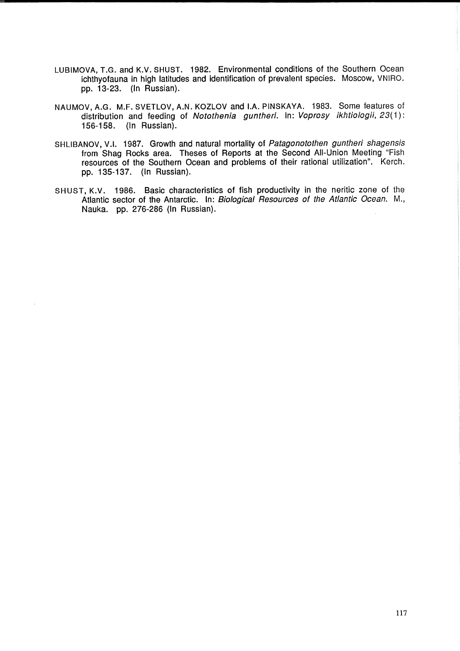- LUBIMOVA, T.G. and K.V. SHUST. 1982. Environmental conditions of the Southern Ocean ichthyofauna in high latitudes and identification of prevalent species. Moscow, VNIRO. pp. 13-23. (In Russian).
- NAUMOV, A.G. M.F. SVETLOV, A.N. KOZLOV and LA. PINSKAYA. 1983. Some features of distribution and feeding of Notothenia guntheri. In: Voprosy ikhtiologii, 23(1): 156-158. (In Russian).
- SHLIBANOV, V.I. 1987. Growth and natural mortality of Patagonotothen guntheri shagensis from Shag Rocks area. Theses of Reports at the Second All-Union Meeting "Fish resources of the Southern Ocean and problems of their rational utilization". Kerch. pp. 135-137. (In Russian).
- SHUST, K.V. 1986. Basic characteristics of fish productivity in the neritic zone of the Atlantic sector of the Antarctic. In: Biological Resources of the Atlantic Ocean. M., Nauka. pp. 276-286 (In Russian).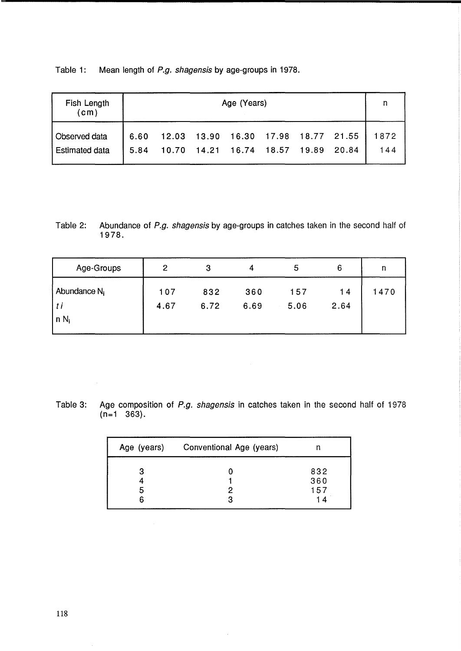Table 1: Mean length of P.g. shagensis by age-groups in 1978.

| <b>Fish Length</b><br>(c <sub>m</sub> ) | Age (Years)  |       |  |                               |  |  |                                          |             |
|-----------------------------------------|--------------|-------|--|-------------------------------|--|--|------------------------------------------|-------------|
| Observed data<br><b>Estimated data</b>  | 6.60<br>5.84 | 10.70 |  | 14.21 16.74 18.57 19.89 20.84 |  |  | 12.03  13.90  16.30  17.98  18.77  21.55 | 1872<br>144 |

Table 2: Abundance of P.g. shagensis by age-groups in catches taken in the second half of 1978.

| Age-Groups                                   | $\overline{2}$ | 3           | 4           | 5           | 6          | n    |
|----------------------------------------------|----------------|-------------|-------------|-------------|------------|------|
| Abundance N <sub>i</sub><br>. t i<br>$n N_i$ | 107<br>4.67    | 832<br>6.72 | 360<br>6.69 | 157<br>5.06 | 14<br>2.64 | 1470 |
|                                              |                |             |             |             |            |      |

Table 3: Age composition of P.g. shagensis in catches taken in the second half of 1978 (n=1 363).

| Age (years) | Conventional Age (years) |                         |  |
|-------------|--------------------------|-------------------------|--|
| 3<br>5<br>6 | 2                        | 832<br>360<br>157<br>14 |  |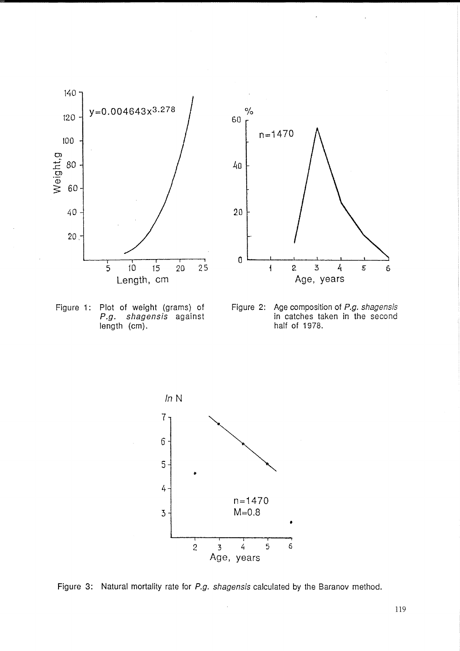



Figure 1: Plot of weight (grams) of P.g. shagensis against length (cm).





Figure 3: Natural mortality rate for P.g. shagensis calculated by the Baranov method.

119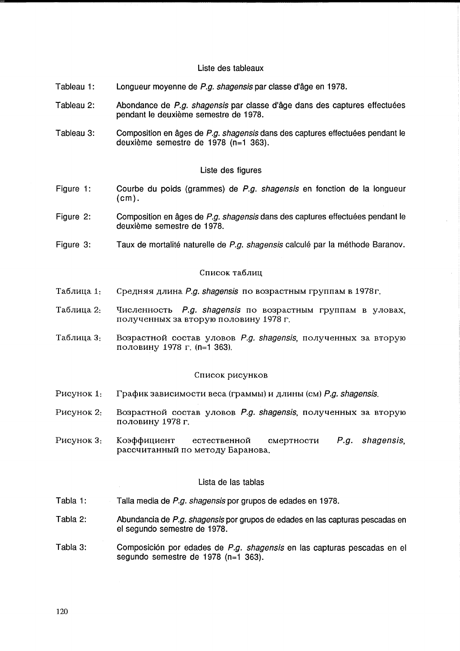# Liste des tableaux

- Tableau 1: Longueur moyenne de P.g. shagensis par classe d'âge en 1978.
- Tableau 2: Abondance de P.g. shagensis par classe d'âge dans des captures effectuées pendant le deuxieme semestre de 1978.
- Tableau 3: Composition en âges de P.g. shagensis dans des captures effectuées pendant le deuxieme semestre de 1978 (n=1 363).

# Liste des figures

- Figure 1: Courbe du poids (grammes) de P.g. shagensis en fonction de la longueur (cm).
- Figure 2: Composition en âges de P.a. shagensis dans des captures effectuées pendant le deuxieme semestre de 1978.
- Figure 3: Taux de mortalité naturelle de P.g. shagensis calculé par la méthode Baranov.

#### Список таблиц

- Таблица 1: Средняя длина *P.g. shagensis* по возрастным группам в 1978г.
- Таблица 2: Численность P.g. shagensis по возрастным группам в уловах, полученных за вторую половину 1978 г.
- Таблица 3: Bospactной состав уловов P.g. shagensis, полученных за вторую nOJIOBHHY 1978 r. (n=1 363).

#### Список рисунков

- P<sub>HC</sub>y<sub>HOK</sub> 1: График зависимости веса (граммы) и длины (см) P.g. shagensis.
- P<sub>HCVHOK</sub> 2: BO3paCTHOЙ СОСТАВ УЛОВОВ P.g. shagensis, полученных за вторую половину 1978 г.
- PHCYHOK 3: Коэффициент естественной смертности  $P.q.$  shagensis, рассчитанный по методу Баранова.

# Lista de las tablas

- Tabla 1: Talla media de P.g. shagensis por grupos de edades en 1978.
- Tabla 2: Abundancia de P.g. shagensis por grupos de edades en las capturas pescadas en el segundo semestre de 1978.
- Tabla 3: Composición por edades de P.g. shagensis en las capturas pescadas en el segundo semestre de 1978 (n=1 363).